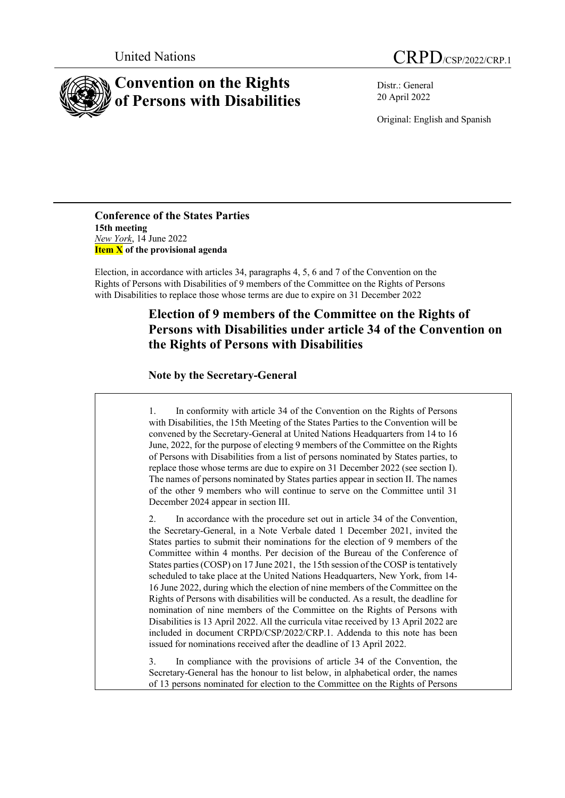



Distr.: General 20 April 2022

Original: English and Spanish

**Conference of the States Parties 15th meeting** *New York*, 14 June 2022 **Item X of the provisional agenda**

Election, in accordance with articles 34, paragraphs 4, 5, 6 and 7 of the Convention on the Rights of Persons with Disabilities of 9 members of the Committee on the Rights of Persons with Disabilities to replace those whose terms are due to expire on 31 December 2022

## **Election of 9 members of the Committee on the Rights of Persons with Disabilities under article 34 of the Convention on the Rights of Persons with Disabilities**

## **Note by the Secretary-General**

1. In conformity with article 34 of the Convention on the Rights of Persons with Disabilities, the 15th Meeting of the States Parties to the Convention will be convened by the Secretary-General at United Nations Headquarters from 14 to 16 June, 2022, for the purpose of electing 9 members of the Committee on the Rights of Persons with Disabilities from a list of persons nominated by States parties, to replace those whose terms are due to expire on 31 December 2022 (see section I). The names of persons nominated by States parties appear in section II. The names of the other 9 members who will continue to serve on the Committee until 31 December 2024 appear in section III.

2. In accordance with the procedure set out in article 34 of the Convention, the Secretary-General, in a Note Verbale dated 1 December 2021, invited the States parties to submit their nominations for the election of 9 members of the Committee within 4 months. Per decision of the Bureau of the Conference of States parties (COSP) on 17 June 2021, the 15th session of the COSP is tentatively scheduled to take place at the United Nations Headquarters, New York, from 14- 16 June 2022, during which the election of nine members of the Committee on the Rights of Persons with disabilities will be conducted. As a result, the deadline for nomination of nine members of the Committee on the Rights of Persons with Disabilities is 13 April 2022. All the curricula vitae received by 13 April 2022 are included in document CRPD/CSP/2022/CRP.1. Addenda to this note has been issued for nominations received after the deadline of 13 April 2022.

3. In compliance with the provisions of article 34 of the Convention, the Secretary-General has the honour to list below, in alphabetical order, the names of 13 persons nominated for election to the Committee on the Rights of Persons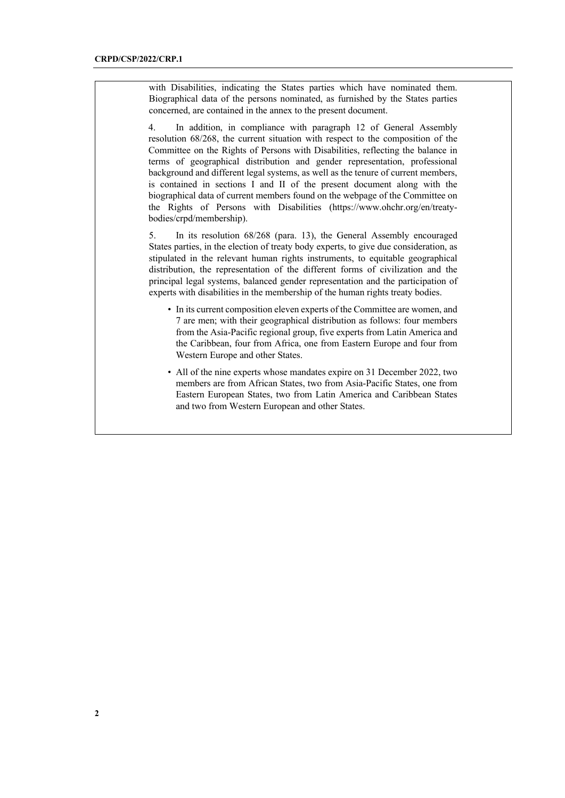with Disabilities, indicating the States parties which have nominated them. Biographical data of the persons nominated, as furnished by the States parties concerned, are contained in the annex to the present document.

4. In addition, in compliance with paragraph 12 of General Assembly resolution 68/268, the current situation with respect to the composition of the Committee on the Rights of Persons with Disabilities, reflecting the balance in terms of geographical distribution and gender representation, professional background and different legal systems, as well as the tenure of current members, is contained in sections I and II of the present document along with the biographical data of current members found on the webpage of the Committee on the Rights of Persons with Disabilities (https://www.ohchr.org/en/treatybodies/crpd/membership).

5. In its resolution 68/268 (para. 13), the General Assembly encouraged States parties, in the election of treaty body experts, to give due consideration, as stipulated in the relevant human rights instruments, to equitable geographical distribution, the representation of the different forms of civilization and the principal legal systems, balanced gender representation and the participation of experts with disabilities in the membership of the human rights treaty bodies.

- In its current composition eleven experts of the Committee are women, and 7 are men; with their geographical distribution as follows: four members from the Asia-Pacific regional group, five experts from Latin America and the Caribbean, four from Africa, one from Eastern Europe and four from Western Europe and other States.
- All of the nine experts whose mandates expire on 31 December 2022, two members are from African States, two from Asia-Pacific States, one from Eastern European States, two from Latin America and Caribbean States and two from Western European and other States.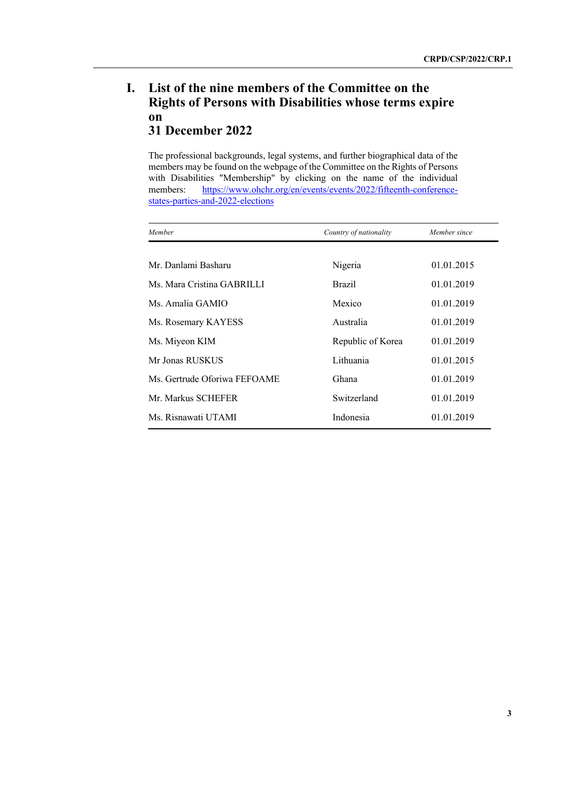## **I. List of the nine members of the Committee on the Rights of Persons with Disabilities whose terms expire on 31 December 2022**

The professional backgrounds, legal systems, and further biographical data of the members may be found on the webpage of the Committee on the Rights of Persons with Disabilities "Membership" by clicking on the name of the individual members: https://www.ohchr.org/en/events/events/2022/fifteenth-conferencestates-parties-and-2022-elections

| Member                       | Country of nationality | Member since |
|------------------------------|------------------------|--------------|
|                              |                        |              |
| Mr. Danlami Basharu          | Nigeria                | 01.01.2015   |
| Ms. Mara Cristina GABRILLI   | <b>Brazil</b>          | 01.01.2019   |
| Ms. Amalia GAMIO             | Mexico                 | 01.01.2019   |
| Ms. Rosemary KAYESS          | Australia              | 01.01.2019   |
| Ms. Miyeon KIM               | Republic of Korea      | 01.01.2019   |
| Mr Jonas RUSKUS              | Lithuania              | 01.01.2015   |
| Ms. Gertrude Oforiwa FEFOAME | Ghana                  | 01.01.2019   |
| Mr. Markus SCHEFER           | Switzerland            | 01.01.2019   |
| Ms. Risnawati UTAMI          | Indonesia              | 01.01.2019   |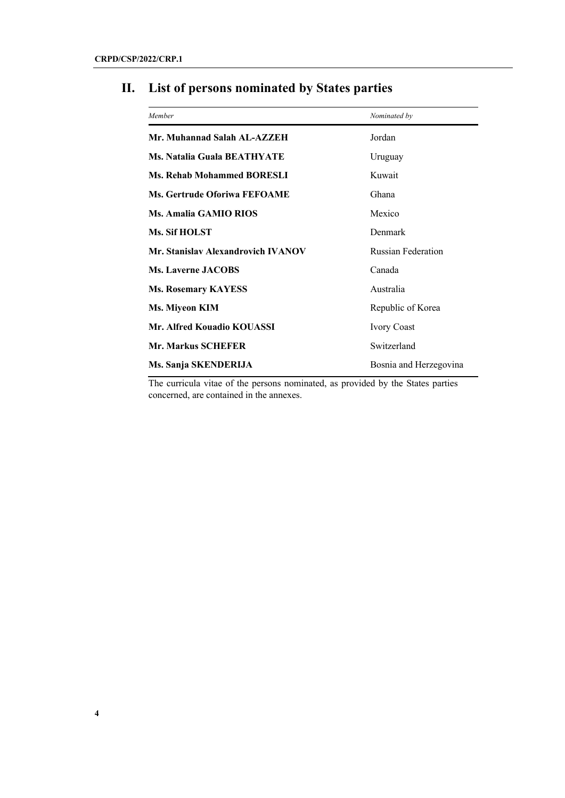| Member                             | Nominated by              |  |
|------------------------------------|---------------------------|--|
| Mr. Muhannad Salah AL-AZZEH        | Jordan                    |  |
| <b>Ms. Natalia Guala BEATHYATE</b> | Uruguay                   |  |
| <b>Ms. Rehab Mohammed BORESLI</b>  | Kuwait                    |  |
| Ms. Gertrude Oforiwa FEFOAME       | Ghana                     |  |
| <b>Ms. Amalia GAMIO RIOS</b>       | Mexico                    |  |
| <b>Ms. Sif HOLST</b>               | Denmark                   |  |
| Mr. Stanislav Alexandrovich IVANOV | <b>Russian Federation</b> |  |
| <b>Ms. Laverne JACOBS</b>          | Canada                    |  |
| <b>Ms. Rosemary KAYESS</b>         | Australia                 |  |
| Ms. Miyeon KIM                     | Republic of Korea         |  |
| Mr. Alfred Kouadio KOUASSI         | <b>Ivory Coast</b>        |  |
| <b>Mr. Markus SCHEFER</b>          | Switzerland               |  |
| Ms. Sanja SKENDERIJA               | Bosnia and Herzegovina    |  |

# **II. List of persons nominated by States parties**

The curricula vitae of the persons nominated, as provided by the States parties concerned, are contained in the annexes.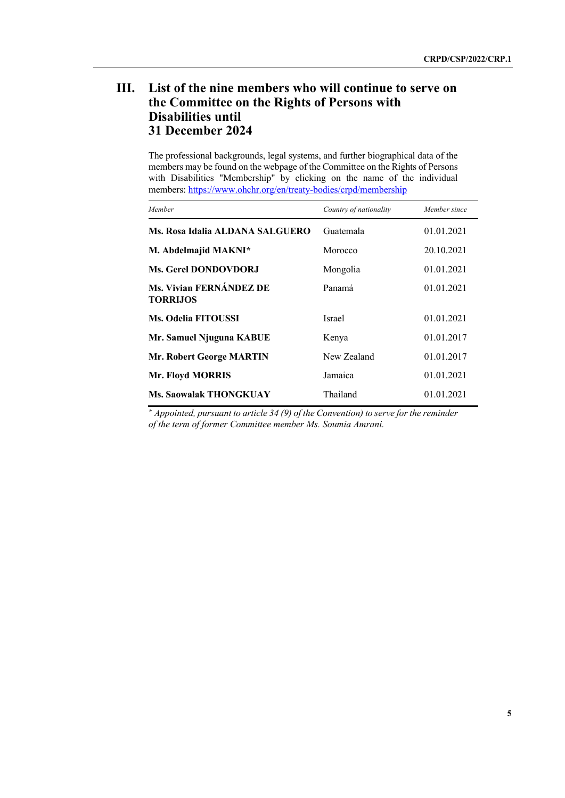## **III. List of the nine members who will continue to serve on the Committee on the Rights of Persons with Disabilities until 31 December 2024**

The professional backgrounds, legal systems, and further biographical data of the members may be found on the webpage of the Committee on the Rights of Persons with Disabilities "Membership" by clicking on the name of the individual members: https://www.ohchr.org/en/treaty-bodies/crpd/membership

| Member                                     | Country of nationality | Member since |
|--------------------------------------------|------------------------|--------------|
| Ms. Rosa Idalia ALDANA SALGUERO            | Guatemala              | 01.01.2021   |
| M. Abdelmajid MAKNI*                       | Morocco                | 20.10.2021   |
| <b>Ms. Gerel DONDOVDORJ</b>                | Mongolia               | 01.01.2021   |
| Ms. Vivian FERNÁNDEZ DE<br><b>TORRIJOS</b> | Panamá                 | 01.01.2021   |
| <b>Ms. Odelia FITOUSSI</b>                 | <b>Israel</b>          | 01.01.2021   |
| Mr. Samuel Njuguna KABUE                   | Kenya                  | 01.01.2017   |
| Mr. Robert George MARTIN                   | New Zealand            | 01.01.2017   |
| Mr. Floyd MORRIS                           | Jamaica                | 01.01.2021   |
| <b>Ms. Saowalak THONGKUAY</b>              | Thailand               | 01.01.2021   |

*\* Appointed, pursuant to article 34 (9) of the Convention) to serve for the reminder of the term of former Committee member Ms. Soumia Amrani.*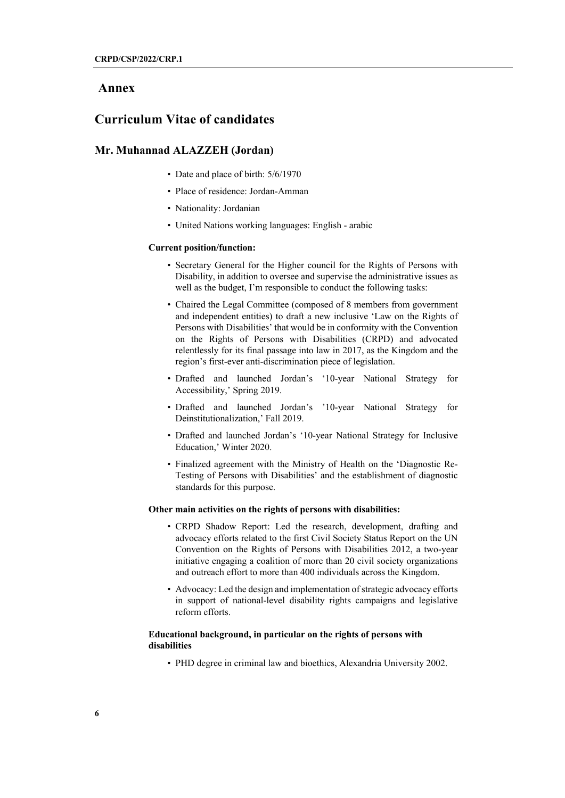## **Annex**

## **Curriculum Vitae of candidates**

## **Mr. Muhannad ALAZZEH (Jordan)**

- Date and place of birth:  $5/6/1970$
- Place of residence: Jordan-Amman
- Nationality: Jordanian
- United Nations working languages: English arabic

#### **Current position/function:**

- Secretary General for the Higher council for the Rights of Persons with Disability, in addition to oversee and supervise the administrative issues as well as the budget, I'm responsible to conduct the following tasks:
- Chaired the Legal Committee (composed of 8 members from government and independent entities) to draft a new inclusive 'Law on the Rights of Persons with Disabilities' that would be in conformity with the Convention on the Rights of Persons with Disabilities (CRPD) and advocated relentlessly for its final passage into law in 2017, as the Kingdom and the region's first-ever anti-discrimination piece of legislation.
- Drafted and launched Jordan's '10-year National Strategy for Accessibility,' Spring 2019.
- Drafted and launched Jordan's '10-year National Strategy for Deinstitutionalization,' Fall 2019.
- Drafted and launched Jordan's '10-year National Strategy for Inclusive Education,' Winter 2020.
- Finalized agreement with the Ministry of Health on the 'Diagnostic Re-Testing of Persons with Disabilities' and the establishment of diagnostic standards for this purpose.

#### **Other main activities on the rights of persons with disabilities:**

- CRPD Shadow Report: Led the research, development, drafting and advocacy efforts related to the first Civil Society Status Report on the UN Convention on the Rights of Persons with Disabilities 2012, a two-year initiative engaging a coalition of more than 20 civil society organizations and outreach effort to more than 400 individuals across the Kingdom.
- Advocacy: Led the design and implementation of strategic advocacy efforts in support of national-level disability rights campaigns and legislative reform efforts.

## **Educational background, in particular on the rights of persons with disabilities**

• PHD degree in criminal law and bioethics, Alexandria University 2002.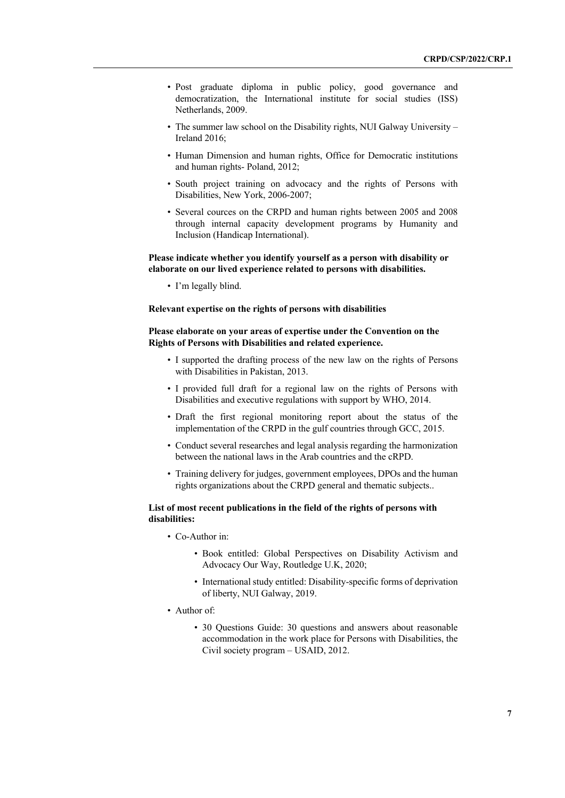- Post graduate diploma in public policy, good governance and democratization, the International institute for social studies (ISS) Netherlands, 2009.
- The summer law school on the Disability rights, NUI Galway University Ireland 2016;
- Human Dimension and human rights, Office for Democratic institutions and human rights- Poland, 2012;
- South project training on advocacy and the rights of Persons with Disabilities, New York, 2006-2007;
- Several cources on the CRPD and human rights between 2005 and 2008 through internal capacity development programs by Humanity and Inclusion (Handicap International).

## **Please indicate whether you identify yourself as a person with disability or elaborate on our lived experience related to persons with disabilities.**

• I'm legally blind.

## **Relevant expertise on the rights of persons with disabilities**

## **Please elaborate on your areas of expertise under the Convention on the Rights of Persons with Disabilities and related experience.**

- I supported the drafting process of the new law on the rights of Persons with Disabilities in Pakistan, 2013.
- I provided full draft for a regional law on the rights of Persons with Disabilities and executive regulations with support by WHO, 2014.
- Draft the first regional monitoring report about the status of the implementation of the CRPD in the gulf countries through GCC, 2015.
- Conduct several researches and legal analysis regarding the harmonization between the national laws in the Arab countries and the cRPD.
- Training delivery for judges, government employees, DPOs and the human rights organizations about the CRPD general and thematic subjects..

## **List of most recent publications in the field of the rights of persons with disabilities:**

- Co-Author in:
	- Book entitled: Global Perspectives on Disability Activism and Advocacy Our Way, Routledge U.K, 2020;
	- International study entitled: Disability-specific forms of deprivation of liberty, NUI Galway, 2019.
- Author of:
	- 30 Questions Guide: 30 questions and answers about reasonable accommodation in the work place for Persons with Disabilities, the Civil society program – USAID, 2012.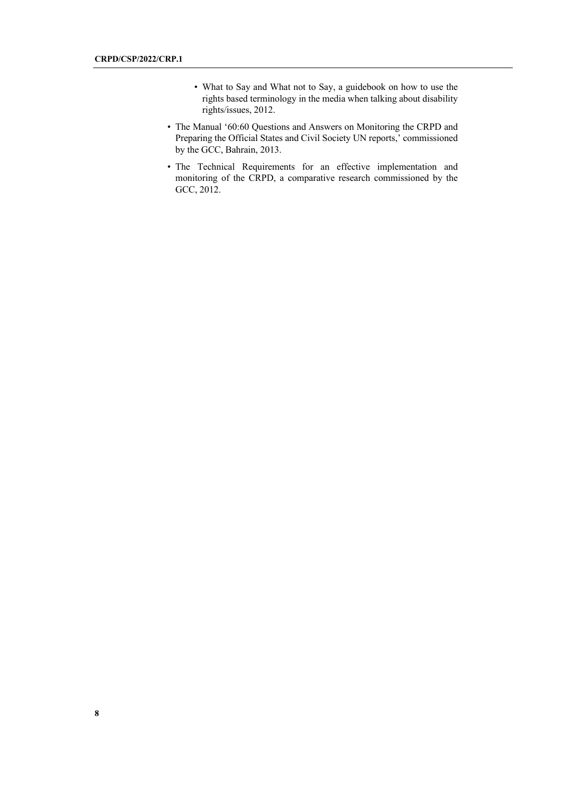- What to Say and What not to Say, a guidebook on how to use the rights based terminology in the media when talking about disability rights/issues, 2012.
- The Manual '60:60 Questions and Answers on Monitoring the CRPD and Preparing the Official States and Civil Society UN reports,' commissioned by the GCC, Bahrain, 2013.
- The Technical Requirements for an effective implementation and monitoring of the CRPD, a comparative research commissioned by the GCC, 2012.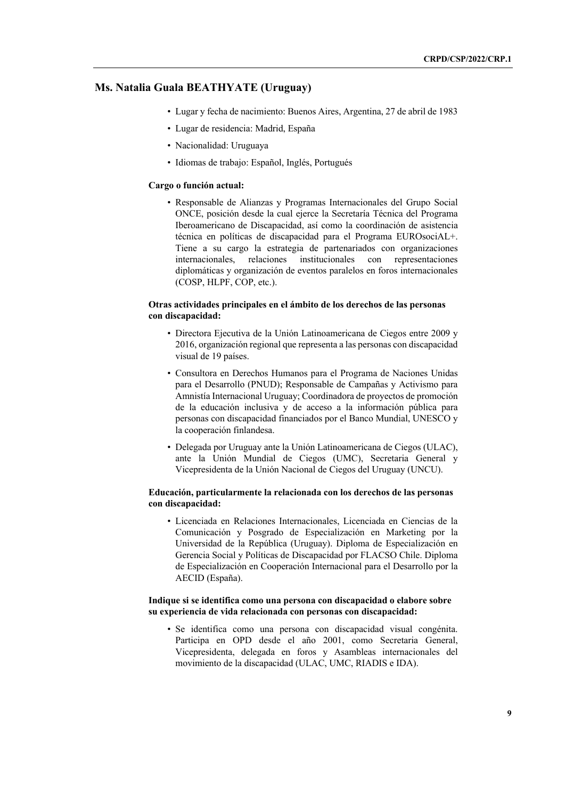## **Ms. Natalia Guala BEATHYATE (Uruguay)**

- Lugar y fecha de nacimiento: Buenos Aires, Argentina, 27 de abril de 1983
- Lugar de residencia: Madrid, España
- Nacionalidad: Uruguaya
- Idiomas de trabajo: Español, Inglés, Portugués

#### **Cargo o función actual:**

• Responsable de Alianzas y Programas Internacionales del Grupo Social ONCE, posición desde la cual ejerce la Secretaría Técnica del Programa Iberoamericano de Discapacidad, así como la coordinación de asistencia técnica en políticas de discapacidad para el Programa EUROsociAL+. Tiene a su cargo la estrategia de partenariados con organizaciones internacionales, relaciones institucionales con representaciones diplomáticas y organización de eventos paralelos en foros internacionales (COSP, HLPF, COP, etc.).

## **Otras actividades principales en el ámbito de los derechos de las personas con discapacidad:**

- Directora Ejecutiva de la Unión Latinoamericana de Ciegos entre 2009 y 2016, organización regional que representa a las personas con discapacidad visual de 19 países.
- Consultora en Derechos Humanos para el Programa de Naciones Unidas para el Desarrollo (PNUD); Responsable de Campañas y Activismo para Amnistía Internacional Uruguay; Coordinadora de proyectos de promoción de la educación inclusiva y de acceso a la información pública para personas con discapacidad financiados por el Banco Mundial, UNESCO y la cooperación finlandesa.
- Delegada por Uruguay ante la Unión Latinoamericana de Ciegos (ULAC), ante la Unión Mundial de Ciegos (UMC), Secretaria General y Vicepresidenta de la Unión Nacional de Ciegos del Uruguay (UNCU).

## **Educación, particularmente la relacionada con los derechos de las personas con discapacidad:**

• Licenciada en Relaciones Internacionales, Licenciada en Ciencias de la Comunicación y Posgrado de Especialización en Marketing por la Universidad de la República (Uruguay). Diploma de Especialización en Gerencia Social y Políticas de Discapacidad por FLACSO Chile. Diploma de Especialización en Cooperación Internacional para el Desarrollo por la AECID (España).

### **Indique si se identifica como una persona con discapacidad o elabore sobre su experiencia de vida relacionada con personas con discapacidad:**

• Se identifica como una persona con discapacidad visual congénita. Participa en OPD desde el año 2001, como Secretaria General, Vicepresidenta, delegada en foros y Asambleas internacionales del movimiento de la discapacidad (ULAC, UMC, RIADIS e IDA).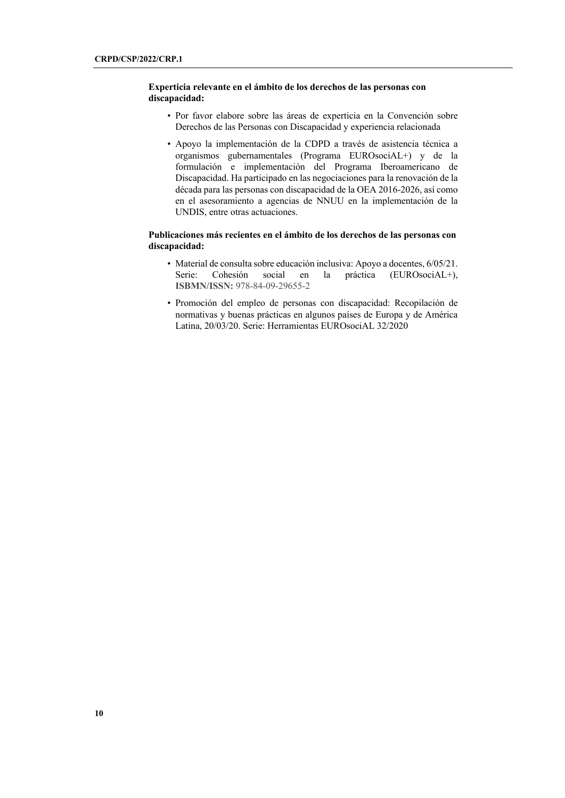## **Experticia relevante en el ámbito de los derechos de las personas con discapacidad:**

- Por favor elabore sobre las áreas de experticia en la Convención sobre Derechos de las Personas con Discapacidad y experiencia relacionada
- Apoyo la implementación de la CDPD a través de asistencia técnica a organismos gubernamentales (Programa EUROsociAL+) y de la formulación e implementación del Programa Iberoamericano de Discapacidad. Ha participado en las negociaciones para la renovación de la década para las personas con discapacidad de la OEA 2016-2026, así como en el asesoramiento a agencias de NNUU en la implementación de la UNDIS, entre otras actuaciones.

## **Publicaciones más recientes en el ámbito de los derechos de las personas con discapacidad:**

- Material de consulta sobre educación inclusiva: Apoyo a docentes, 6/05/21. Serie: Cohesión social en la práctica (EUROsociAL+), **ISBMN/ISSN:** 978-84-09-29655-2
- Promoción del empleo de personas con discapacidad: Recopilación de normativas y buenas prácticas en algunos países de Europa y de América Latina, 20/03/20. Serie: Herramientas EUROsociAL 32/2020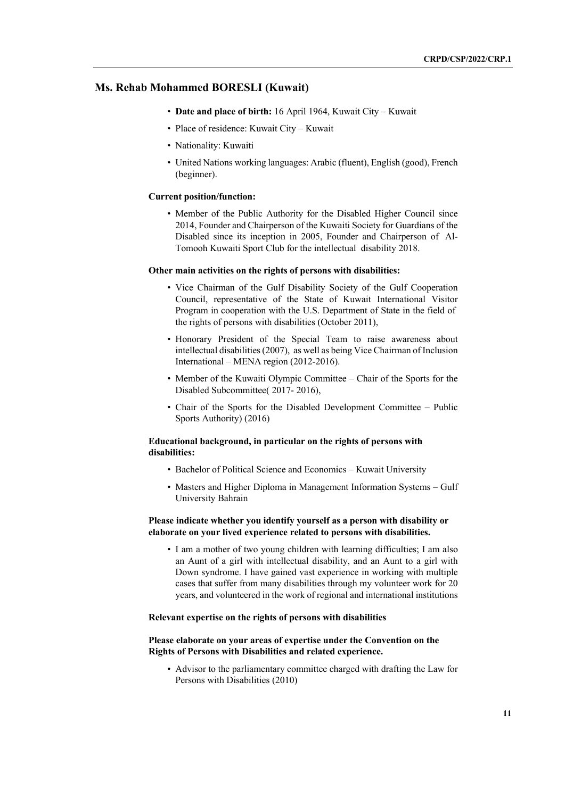## **Ms. Rehab Mohammed BORESLI (Kuwait)**

- **Date and place of birth:** 16 April 1964, Kuwait City Kuwait
- Place of residence: Kuwait City Kuwait
- Nationality: Kuwaiti
- United Nations working languages: Arabic (fluent), English (good), French (beginner).

#### **Current position/function:**

• Member of the Public Authority for the Disabled Higher Council since 2014, Founder and Chairperson of the Kuwaiti Society for Guardians of the Disabled since its inception in 2005, Founder and Chairperson of Al-Tomooh Kuwaiti Sport Club for the intellectual disability 2018.

#### **Other main activities on the rights of persons with disabilities:**

- Vice Chairman of the Gulf Disability Society of the Gulf Cooperation Council, representative of the State of Kuwait International Visitor Program in cooperation with the U.S. Department of State in the field of the rights of persons with disabilities (October 2011),
- Honorary President of the Special Team to raise awareness about intellectual disabilities (2007), as well as being Vice Chairman of Inclusion International – MENA region (2012-2016).
- Member of the Kuwaiti Olympic Committee Chair of the Sports for the Disabled Subcommittee( 2017- 2016),
- Chair of the Sports for the Disabled Development Committee Public Sports Authority) (2016)

## **Educational background, in particular on the rights of persons with disabilities:**

- Bachelor of Political Science and Economics Kuwait University
- Masters and Higher Diploma in Management Information Systems Gulf University Bahrain

## **Please indicate whether you identify yourself as a person with disability or elaborate on your lived experience related to persons with disabilities.**

• I am a mother of two young children with learning difficulties; I am also an Aunt of a girl with intellectual disability, and an Aunt to a girl with Down syndrome. I have gained vast experience in working with multiple cases that suffer from many disabilities through my volunteer work for 20 years, and volunteered in the work of regional and international institutions

## **Relevant expertise on the rights of persons with disabilities**

## **Please elaborate on your areas of expertise under the Convention on the Rights of Persons with Disabilities and related experience.**

• Advisor to the parliamentary committee charged with drafting the Law for Persons with Disabilities (2010)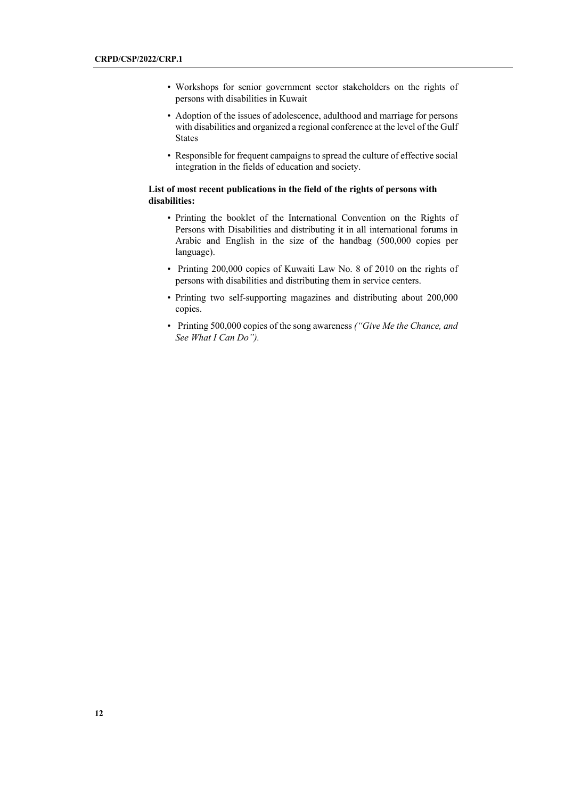- Workshops for senior government sector stakeholders on the rights of persons with disabilities in Kuwait
- Adoption of the issues of adolescence, adulthood and marriage for persons with disabilities and organized a regional conference at the level of the Gulf States
- Responsible for frequent campaigns to spread the culture of effective social integration in the fields of education and society.

## **List of most recent publications in the field of the rights of persons with disabilities:**

- Printing the booklet of the International Convention on the Rights of Persons with Disabilities and distributing it in all international forums in Arabic and English in the size of the handbag (500,000 copies per language).
- Printing 200,000 copies of Kuwaiti Law No. 8 of 2010 on the rights of persons with disabilities and distributing them in service centers.
- Printing two self-supporting magazines and distributing about 200,000 copies.
- Printing 500,000 copies of the song awareness *("Give Me the Chance, and See What I Can Do").*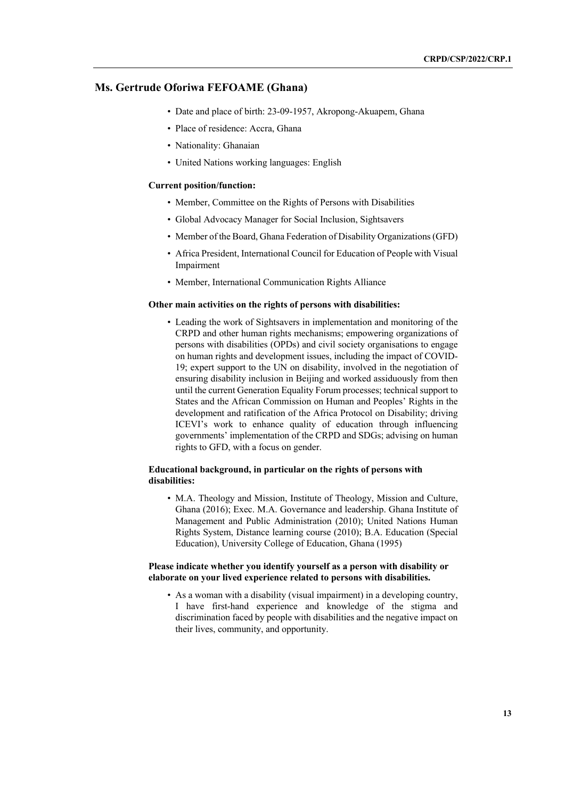## **Ms. Gertrude Oforiwa FEFOAME (Ghana)**

- Date and place of birth: 23-09-1957, Akropong-Akuapem, Ghana
- Place of residence: Accra, Ghana
- Nationality: Ghanaian
- United Nations working languages: English

#### **Current position/function:**

- Member, Committee on the Rights of Persons with Disabilities
- Global Advocacy Manager for Social Inclusion, Sightsavers
- Member of the Board, Ghana Federation of Disability Organizations (GFD)
- Africa President, International Council for Education of People with Visual Impairment
- Member, International Communication Rights Alliance

## **Other main activities on the rights of persons with disabilities:**

• Leading the work of Sightsavers in implementation and monitoring of the CRPD and other human rights mechanisms; empowering organizations of persons with disabilities (OPDs) and civil society organisations to engage on human rights and development issues, including the impact of COVID-19; expert support to the UN on disability, involved in the negotiation of ensuring disability inclusion in Beijing and worked assiduously from then until the current Generation Equality Forum processes; technical support to States and the African Commission on Human and Peoples' Rights in the development and ratification of the Africa Protocol on Disability; driving ICEVI's work to enhance quality of education through influencing governments' implementation of the CRPD and SDGs; advising on human rights to GFD, with a focus on gender.

## **Educational background, in particular on the rights of persons with disabilities:**

• M.A. Theology and Mission, Institute of Theology, Mission and Culture, Ghana (2016); Exec. M.A. Governance and leadership. Ghana Institute of Management and Public Administration (2010); United Nations Human Rights System, Distance learning course (2010); B.A. Education (Special Education), University College of Education, Ghana (1995)

### **Please indicate whether you identify yourself as a person with disability or elaborate on your lived experience related to persons with disabilities.**

• As a woman with a disability (visual impairment) in a developing country, I have first-hand experience and knowledge of the stigma and discrimination faced by people with disabilities and the negative impact on their lives, community, and opportunity.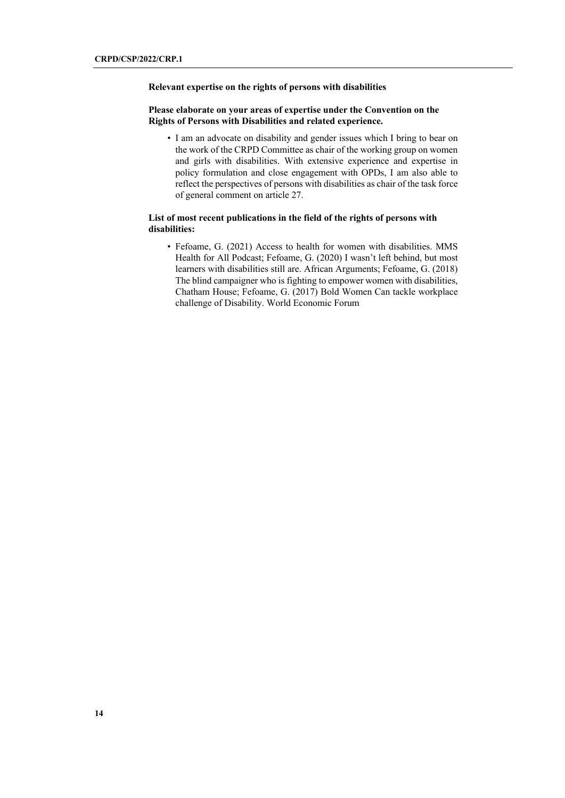### **Relevant expertise on the rights of persons with disabilities**

## **Please elaborate on your areas of expertise under the Convention on the Rights of Persons with Disabilities and related experience.**

• I am an advocate on disability and gender issues which I bring to bear on the work of the CRPD Committee as chair of the working group on women and girls with disabilities. With extensive experience and expertise in policy formulation and close engagement with OPDs, I am also able to reflect the perspectives of persons with disabilities as chair of the task force of general comment on article 27.

## **List of most recent publications in the field of the rights of persons with disabilities:**

• Fefoame, G. (2021) Access to health for women with disabilities. MMS Health for All Podcast; Fefoame, G. (2020) I wasn't left behind, but most learners with disabilities still are. African Arguments; Fefoame, G. (2018) The blind campaigner who is fighting to empower women with disabilities, Chatham House; Fefoame, G. (2017) Bold Women Can tackle workplace challenge of Disability. World Economic Forum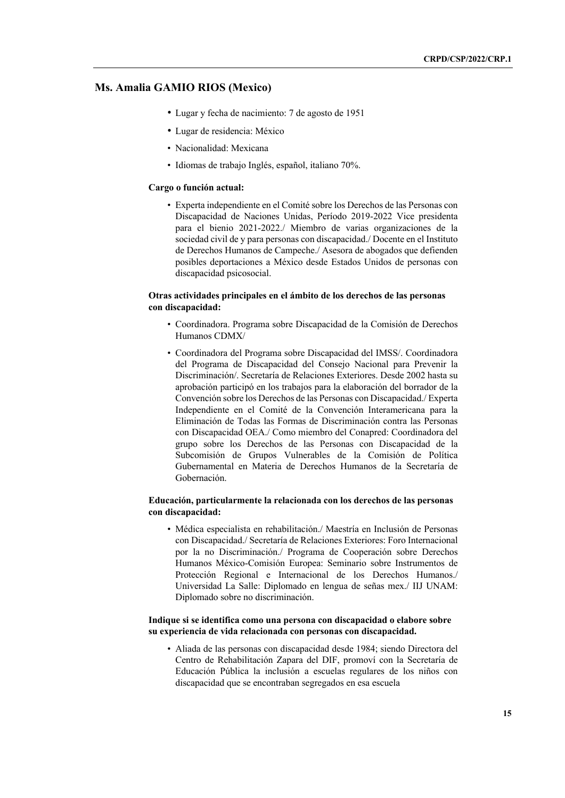## **Ms. Amalia GAMIO RIOS (Mexico)**

- Lugar y fecha de nacimiento: 7 de agosto de 1951
- Lugar de residencia: México
- Nacionalidad: Mexicana
- Idiomas de trabajo Inglés, español, italiano 70%.

#### **Cargo o función actual:**

• Experta independiente en el Comité sobre los Derechos de las Personas con Discapacidad de Naciones Unidas, Período 2019-2022 Vice presidenta para el bienio 2021-2022./ Miembro de varias organizaciones de la sociedad civil de y para personas con discapacidad./ Docente en el Instituto de Derechos Humanos de Campeche./ Asesora de abogados que defienden posibles deportaciones a México desde Estados Unidos de personas con discapacidad psicosocial.

## **Otras actividades principales en el ámbito de los derechos de las personas con discapacidad:**

- Coordinadora. Programa sobre Discapacidad de la Comisión de Derechos Humanos CDMX/
- Coordinadora del Programa sobre Discapacidad del IMSS/. Coordinadora del Programa de Discapacidad del Consejo Nacional para Prevenir la Discriminación/. Secretaría de Relaciones Exteriores. Desde 2002 hasta su aprobación participó en los trabajos para la elaboración del borrador de la Convención sobre los Derechos de las Personas con Discapacidad./ Experta Independiente en el Comité de la Convención Interamericana para la Eliminación de Todas las Formas de Discriminación contra las Personas con Discapacidad OEA./ Como miembro del Conapred: Coordinadora del grupo sobre los Derechos de las Personas con Discapacidad de la Subcomisión de Grupos Vulnerables de la Comisión de Política Gubernamental en Materia de Derechos Humanos de la Secretaría de Gobernación.

## **Educación, particularmente la relacionada con los derechos de las personas con discapacidad:**

• Médica especialista en rehabilitación./ Maestría en Inclusión de Personas con Discapacidad./ Secretaría de Relaciones Exteriores: Foro Internacional por la no Discriminación./ Programa de Cooperación sobre Derechos Humanos México-Comisión Europea: Seminario sobre Instrumentos de Protección Regional e Internacional de los Derechos Humanos./ Universidad La Salle: Diplomado en lengua de señas mex./ IIJ UNAM: Diplomado sobre no discriminación.

## **Indique si se identifica como una persona con discapacidad o elabore sobre su experiencia de vida relacionada con personas con discapacidad.**

• Aliada de las personas con discapacidad desde 1984; siendo Directora del Centro de Rehabilitación Zapara del DIF, promoví con la Secretaría de Educación Pública la inclusión a escuelas regulares de los niños con discapacidad que se encontraban segregados en esa escuela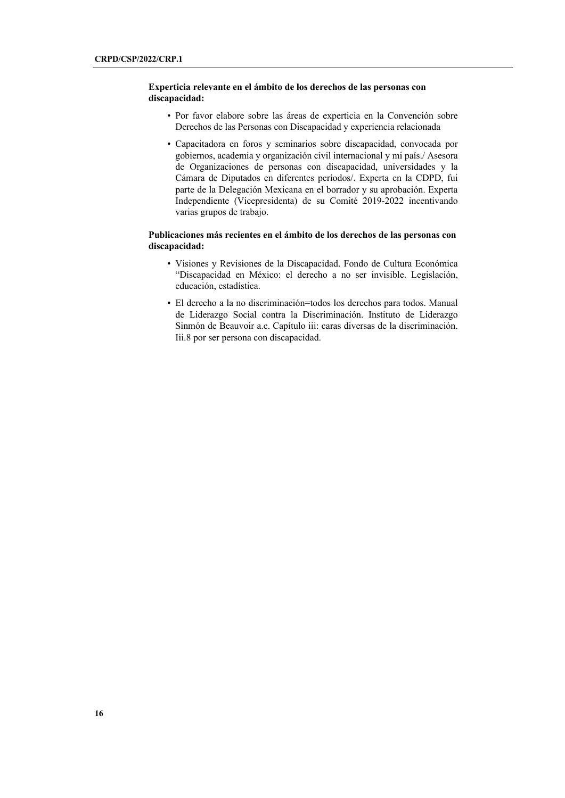## **Experticia relevante en el ámbito de los derechos de las personas con discapacidad:**

- Por favor elabore sobre las áreas de experticia en la Convención sobre Derechos de las Personas con Discapacidad y experiencia relacionada
- Capacitadora en foros y seminarios sobre discapacidad, convocada por gobiernos, academia y organización civil internacional y mi país./ Asesora de Organizaciones de personas con discapacidad, universidades y la Cámara de Diputados en diferentes períodos/. Experta en la CDPD, fui parte de la Delegación Mexicana en el borrador y su aprobación. Experta Independiente (Vicepresidenta) de su Comité 2019-2022 incentivando varias grupos de trabajo.

## **Publicaciones más recientes en el ámbito de los derechos de las personas con discapacidad:**

- Visiones y Revisiones de la Discapacidad. Fondo de Cultura Económica "Discapacidad en México: el derecho a no ser invisible. Legislación, educación, estadística.
- El derecho a la no discriminación=todos los derechos para todos. Manual de Liderazgo Social contra la Discriminación. Instituto de Liderazgo Sinmón de Beauvoir a.c. Capítulo iii: caras diversas de la discriminación. Iii.8 por ser persona con discapacidad.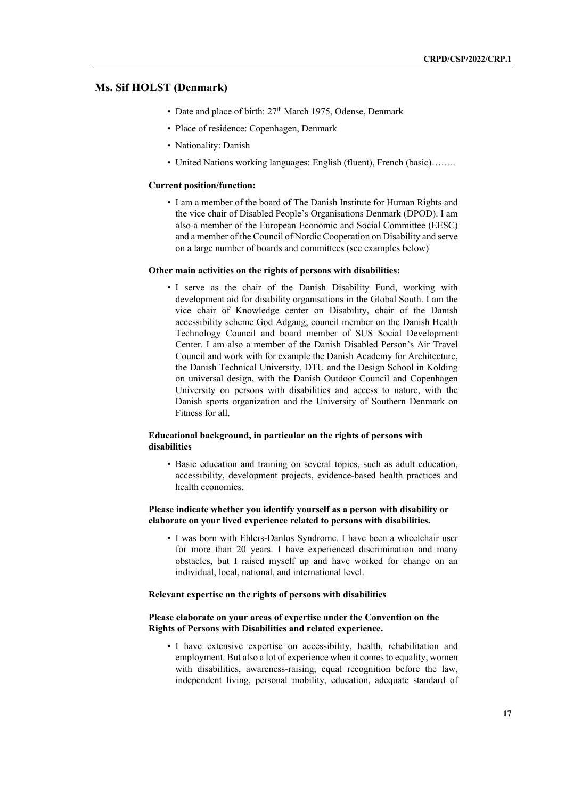## **Ms. Sif HOLST (Denmark)**

- Date and place of birth: 27<sup>th</sup> March 1975, Odense, Denmark
- Place of residence: Copenhagen, Denmark
- Nationality: Danish
- United Nations working languages: English (fluent), French (basic)........

#### **Current position/function:**

• I am a member of the board of The Danish Institute for Human Rights and the vice chair of Disabled People's Organisations Denmark (DPOD). I am also a member of the European Economic and Social Committee (EESC) and a member of the Council of Nordic Cooperation on Disability and serve on a large number of boards and committees (see examples below)

#### **Other main activities on the rights of persons with disabilities:**

• I serve as the chair of the Danish Disability Fund, working with development aid for disability organisations in the Global South. I am the vice chair of Knowledge center on Disability, chair of the Danish accessibility scheme God Adgang, council member on the Danish Health Technology Council and board member of SUS Social Development Center. I am also a member of the Danish Disabled Person's Air Travel Council and work with for example the Danish Academy for Architecture, the Danish Technical University, DTU and the Design School in Kolding on universal design, with the Danish Outdoor Council and Copenhagen University on persons with disabilities and access to nature, with the Danish sports organization and the University of Southern Denmark on Fitness for all.

## **Educational background, in particular on the rights of persons with disabilities**

• Basic education and training on several topics, such as adult education, accessibility, development projects, evidence-based health practices and health economics.

## **Please indicate whether you identify yourself as a person with disability or elaborate on your lived experience related to persons with disabilities.**

• I was born with Ehlers-Danlos Syndrome. I have been a wheelchair user for more than 20 years. I have experienced discrimination and many obstacles, but I raised myself up and have worked for change on an individual, local, national, and international level.

#### **Relevant expertise on the rights of persons with disabilities**

## **Please elaborate on your areas of expertise under the Convention on the Rights of Persons with Disabilities and related experience.**

• I have extensive expertise on accessibility, health, rehabilitation and employment. But also a lot of experience when it comes to equality, women with disabilities, awareness-raising, equal recognition before the law, independent living, personal mobility, education, adequate standard of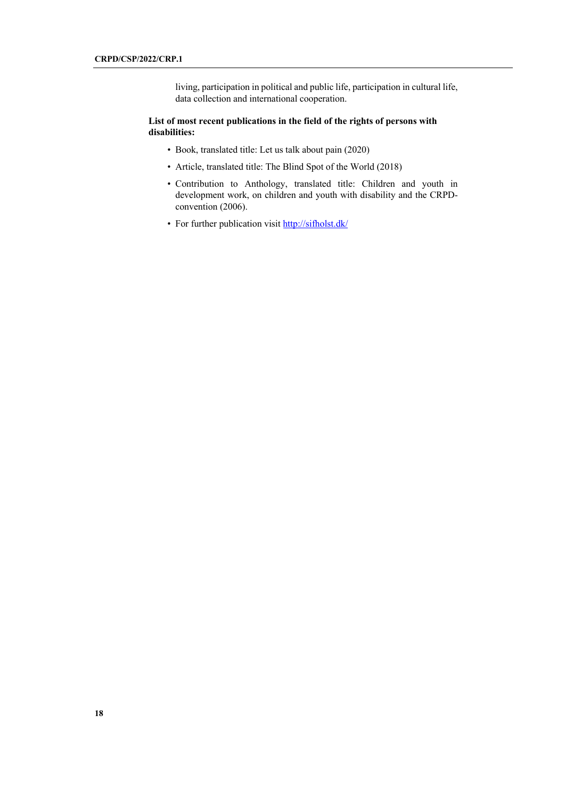living, participation in political and public life, participation in cultural life, data collection and international cooperation.

## **List of most recent publications in the field of the rights of persons with disabilities:**

- Book, translated title: Let us talk about pain (2020)
- Article, translated title: The Blind Spot of the World (2018)
- Contribution to Anthology, translated title: Children and youth in development work, on children and youth with disability and the CRPDconvention (2006).
- For further publication visit http://sifholst.dk/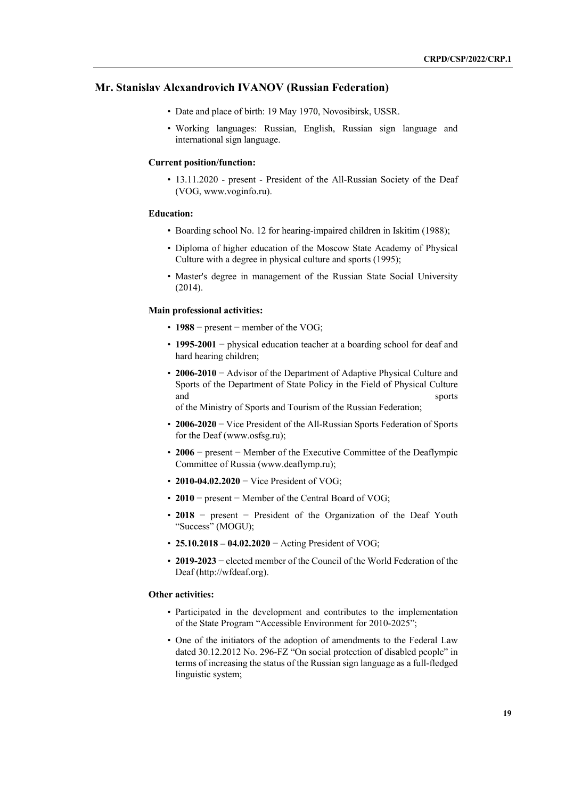## **Mr. Stanislav Alexandrovich IVANOV (Russian Federation)**

- Date and place of birth: 19 May 1970, Novosibirsk, USSR.
- Working languages: Russian, English, Russian sign language and international sign language.

### **Current position/function:**

• 13.11.2020 - present - President of the All-Russian Society of the Deaf (VOG, www.voginfo.ru).

### **Education:**

- Boarding school No. 12 for hearing-impaired children in Iskitim (1988);
- Diploma of higher education of the Moscow State Academy of Physical Culture with a degree in physical culture and sports (1995);
- Master's degree in management of the Russian State Social University (2014).

#### **Main professional activities:**

- **1988** − present − member of the VOG;
- **1995-2001** − physical education teacher at a boarding school for deaf and hard hearing children;
- **2006-2010** − Advisor of the Department of Adaptive Physical Culture and Sports of the Department of State Policy in the Field of Physical Culture and sports sports

of the Ministry of Sports and Tourism of the Russian Federation;

- **2006-2020** − Vice President of the All-Russian Sports Federation of Sports for the Deaf (www.osfsg.ru);
- **2006** − present − Member of the Executive Committee of the Deaflympic Committee of Russia (www.deaflymp.ru);
- **2010-04.02.2020** − Vice President of VOG;
- **2010** − present − Member of the Central Board of VOG;
- **2018** − present − President of the Organization of the Deaf Youth "Success" (MOGU);
- **25.10.2018 – 04.02.2020** − Acting President of VOG;
- **2019-2023** − elected member of the Council of the World Federation of the Deaf (http://wfdeaf.org).

#### **Other activities:**

- Participated in the development and contributes to the implementation of the State Program "Accessible Environment for 2010-2025";
- One of the initiators of the adoption of amendments to the Federal Law dated 30.12.2012 No. 296-FZ "On social protection of disabled people" in terms of increasing the status of the Russian sign language as a full-fledged linguistic system;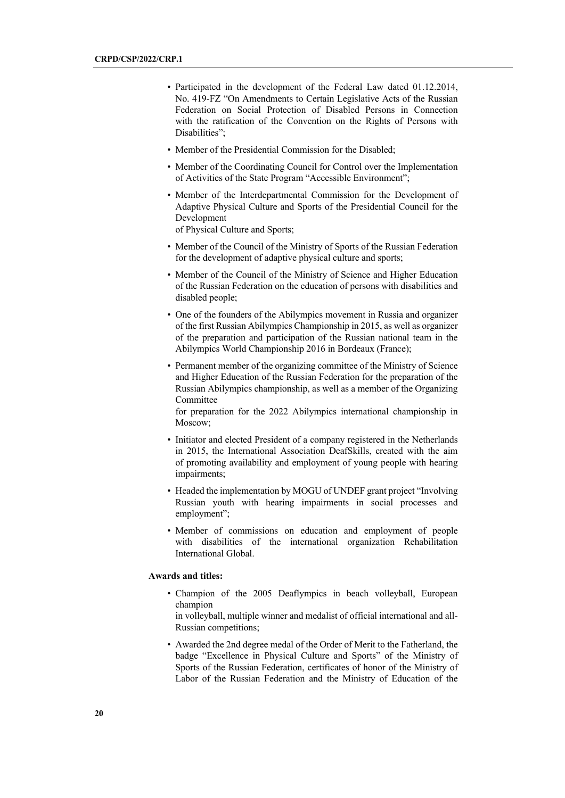- Participated in the development of the Federal Law dated 01.12.2014, No. 419-FZ "On Amendments to Certain Legislative Acts of the Russian Federation on Social Protection of Disabled Persons in Connection with the ratification of the Convention on the Rights of Persons with Disabilities";
- Member of the Presidential Commission for the Disabled;
- Member of the Coordinating Council for Control over the Implementation of Activities of the State Program "Accessible Environment";
- Member of the Interdepartmental Commission for the Development of Adaptive Physical Culture and Sports of the Presidential Council for the Development

of Physical Culture and Sports;

- Member of the Council of the Ministry of Sports of the Russian Federation for the development of adaptive physical culture and sports;
- Member of the Council of the Ministry of Science and Higher Education of the Russian Federation on the education of persons with disabilities and disabled people;
- One of the founders of the Abilympics movement in Russia and organizer of the first Russian Abilympics Championship in 2015, as well as organizer of the preparation and participation of the Russian national team in the Abilympics World Championship 2016 in Bordeaux (France);
- Permanent member of the organizing committee of the Ministry of Science and Higher Education of the Russian Federation for the preparation of the Russian Abilympics championship, as well as a member of the Organizing Committee

for preparation for the 2022 Abilympics international championship in Moscow;

- Initiator and elected President of a company registered in the Netherlands in 2015, the International Association DeafSkills, created with the aim of promoting availability and employment of young people with hearing impairments;
- Headed the implementation by MOGU of UNDEF grant project "Involving Russian youth with hearing impairments in social processes and employment";
- Member of commissions on education and employment of people with disabilities of the international organization Rehabilitation International Global.

#### **Awards and titles:**

• Champion of the 2005 Deaflympics in beach volleyball, European champion

in volleyball, multiple winner and medalist of official international and all-Russian competitions;

• Awarded the 2nd degree medal of the Order of Merit to the Fatherland, the badge "Excellence in Physical Culture and Sports" of the Ministry of Sports of the Russian Federation, certificates of honor of the Ministry of Labor of the Russian Federation and the Ministry of Education of the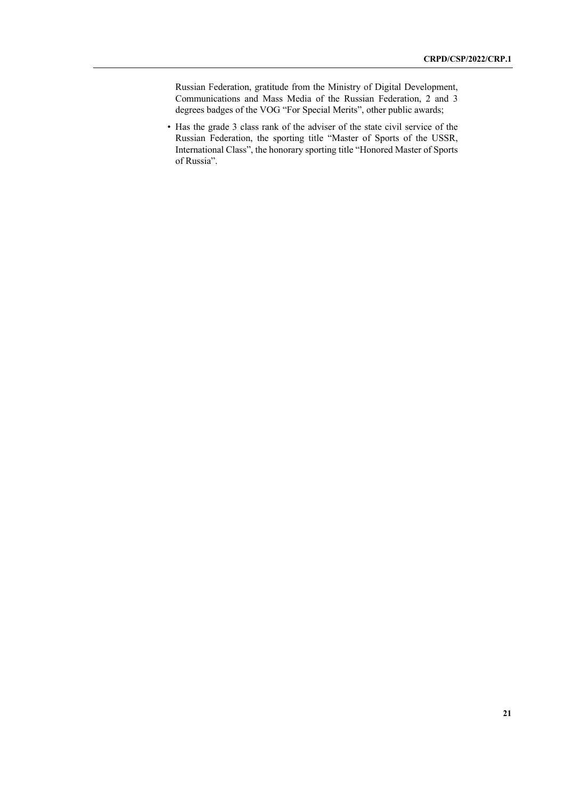Russian Federation, gratitude from the Ministry of Digital Development, Communications and Mass Media of the Russian Federation, 2 and 3 degrees badges of the VOG "For Special Merits", other public awards;

• Has the grade 3 class rank of the adviser of the state civil service of the Russian Federation, the sporting title "Master of Sports of the USSR, International Class", the honorary sporting title "Honored Master of Sports of Russia".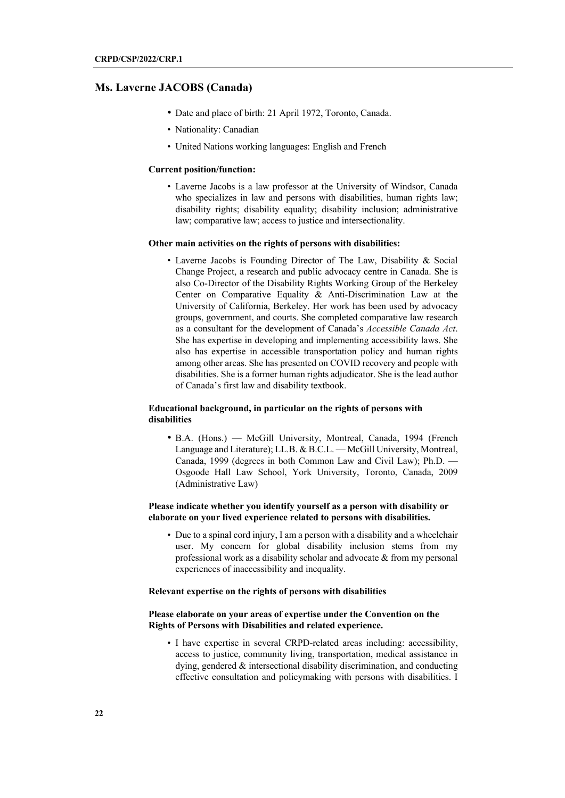## **Ms. Laverne JACOBS (Canada)**

- Date and place of birth: 21 April 1972, Toronto, Canada.
- Nationality: Canadian
- United Nations working languages: English and French

#### **Current position/function:**

• Laverne Jacobs is a law professor at the University of Windsor, Canada who specializes in law and persons with disabilities, human rights law; disability rights; disability equality; disability inclusion; administrative law; comparative law; access to justice and intersectionality.

#### **Other main activities on the rights of persons with disabilities:**

• Laverne Jacobs is Founding Director of The Law, Disability & Social Change Project, a research and public advocacy centre in Canada. She is also Co-Director of the Disability Rights Working Group of the Berkeley Center on Comparative Equality & Anti-Discrimination Law at the University of California, Berkeley. Her work has been used by advocacy groups, government, and courts. She completed comparative law research as a consultant for the development of Canada's *Accessible Canada Act*. She has expertise in developing and implementing accessibility laws. She also has expertise in accessible transportation policy and human rights among other areas. She has presented on COVID recovery and people with disabilities. She is a former human rights adjudicator. She is the lead author of Canada's first law and disability textbook.

## **Educational background, in particular on the rights of persons with disabilities**

• B.A. (Hons.) — McGill University, Montreal, Canada, 1994 (French Language and Literature); LL.B. & B.C.L. — McGill University, Montreal, Canada, 1999 (degrees in both Common Law and Civil Law); Ph.D. — Osgoode Hall Law School, York University, Toronto, Canada, 2009 (Administrative Law)

## **Please indicate whether you identify yourself as a person with disability or elaborate on your lived experience related to persons with disabilities.**

• Due to a spinal cord injury, I am a person with a disability and a wheelchair user. My concern for global disability inclusion stems from my professional work as a disability scholar and advocate & from my personal experiences of inaccessibility and inequality.

#### **Relevant expertise on the rights of persons with disabilities**

### **Please elaborate on your areas of expertise under the Convention on the Rights of Persons with Disabilities and related experience.**

• I have expertise in several CRPD-related areas including: accessibility, access to justice, community living, transportation, medical assistance in dying, gendered & intersectional disability discrimination, and conducting effective consultation and policymaking with persons with disabilities. I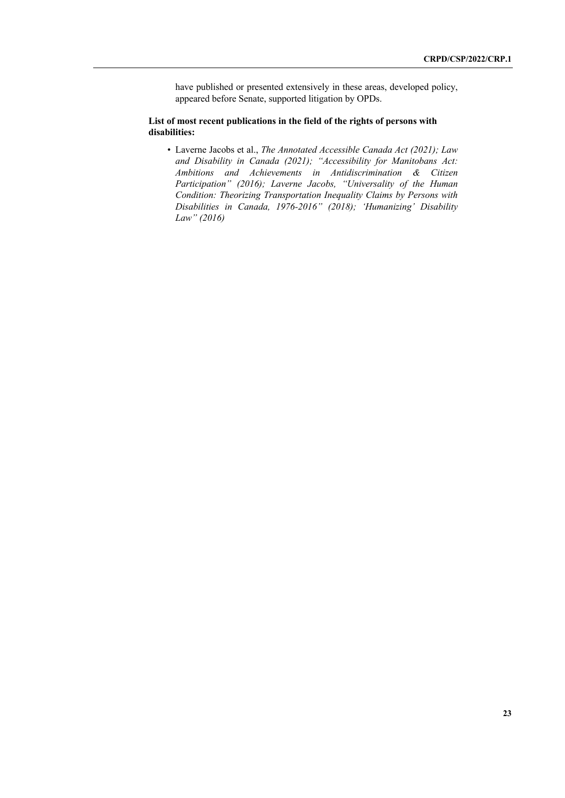have published or presented extensively in these areas, developed policy, appeared before Senate, supported litigation by OPDs.

## **List of most recent publications in the field of the rights of persons with disabilities:**

• Laverne Jacobs et al., *The Annotated Accessible Canada Act (2021); Law and Disability in Canada (2021); "Accessibility for Manitobans Act: Ambitions and Achievements in Antidiscrimination & Citizen Participation" (2016); Laverne Jacobs, "Universality of the Human Condition: Theorizing Transportation Inequality Claims by Persons with Disabilities in Canada, 1976-2016" (2018); 'Humanizing' Disability Law" (2016)*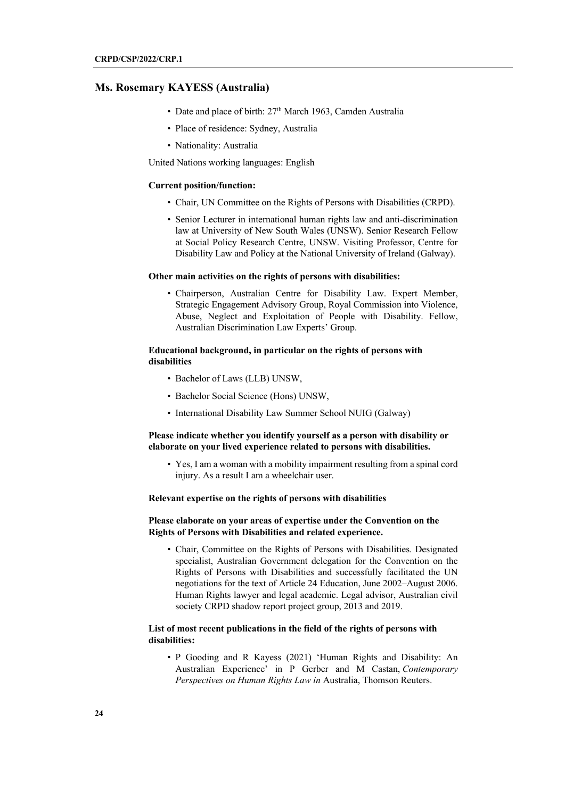## **Ms. Rosemary KAYESS (Australia)**

- Date and place of birth:  $27<sup>th</sup>$  March 1963, Camden Australia
- Place of residence: Sydney, Australia
- Nationality: Australia

United Nations working languages: English

#### **Current position/function:**

- Chair, UN Committee on the Rights of Persons with Disabilities (CRPD).
- Senior Lecturer in international human rights law and anti-discrimination law at University of New South Wales (UNSW). Senior Research Fellow at Social Policy Research Centre, UNSW. Visiting Professor, Centre for Disability Law and Policy at the National University of Ireland (Galway).

#### **Other main activities on the rights of persons with disabilities:**

• Chairperson, Australian Centre for Disability Law. Expert Member, Strategic Engagement Advisory Group, Royal Commission into Violence, Abuse, Neglect and Exploitation of People with Disability. Fellow, Australian Discrimination Law Experts' Group.

### **Educational background, in particular on the rights of persons with disabilities**

- Bachelor of Laws (LLB) UNSW,
- Bachelor Social Science (Hons) UNSW,
- International Disability Law Summer School NUIG (Galway)

## **Please indicate whether you identify yourself as a person with disability or elaborate on your lived experience related to persons with disabilities.**

• Yes, I am a woman with a mobility impairment resulting from a spinal cord injury. As a result I am a wheelchair user.

#### **Relevant expertise on the rights of persons with disabilities**

## **Please elaborate on your areas of expertise under the Convention on the Rights of Persons with Disabilities and related experience.**

• Chair, Committee on the Rights of Persons with Disabilities. Designated specialist, Australian Government delegation for the Convention on the Rights of Persons with Disabilities and successfully facilitated the UN negotiations for the text of Article 24 Education, June 2002–August 2006. Human Rights lawyer and legal academic. Legal advisor, Australian civil society CRPD shadow report project group, 2013 and 2019.

## **List of most recent publications in the field of the rights of persons with disabilities:**

• P Gooding and R Kayess (2021) 'Human Rights and Disability: An Australian Experience' in P Gerber and M Castan, *Contemporary Perspectives on Human Rights Law in* Australia, Thomson Reuters.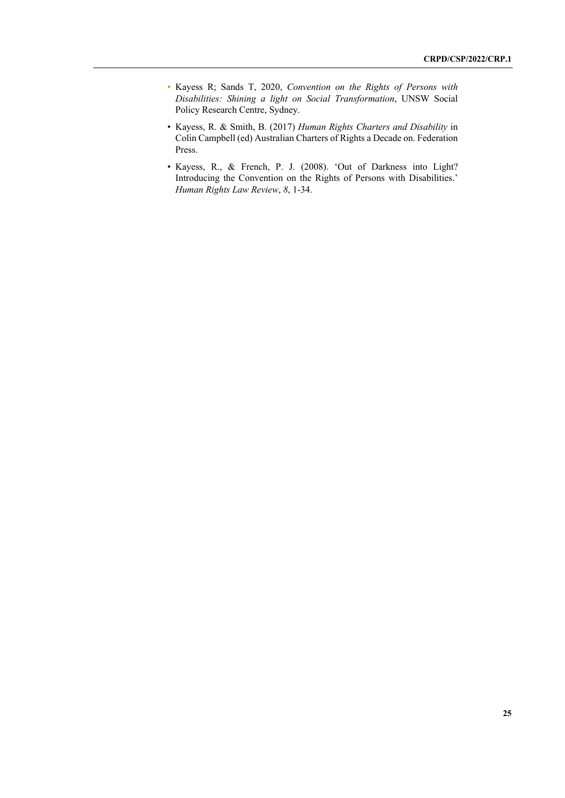- Kayess R; Sands T, 2020, *Convention on the Rights of Persons with Disabilities: Shining a light on Social Transformation*, UNSW Social Policy Research Centre, Sydney.
- Kayess, R. & Smith, B. (2017) *Human Rights Charters and Disability* in Colin Campbell (ed) Australian Charters of Rights a Decade on. Federation Press.
- Kayess, R., & French, P. J. (2008). 'Out of Darkness into Light? Introducing the Convention on the Rights of Persons with Disabilities.' *Human Rights Law Review*, *8*, 1-34.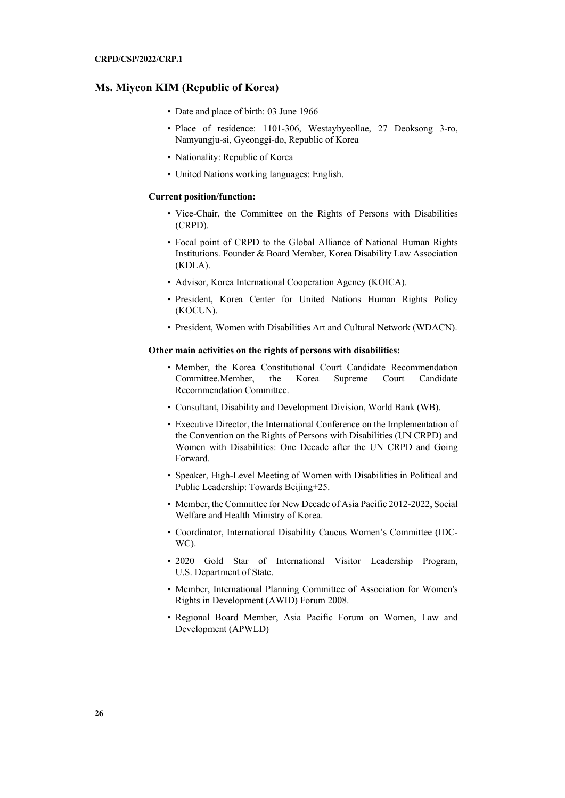## **Ms. Miyeon KIM (Republic of Korea)**

- Date and place of birth: 03 June 1966
- Place of residence: 1101-306, Westaybyeollae, 27 Deoksong 3-ro, Namyangju-si, Gyeonggi-do, Republic of Korea
- Nationality: Republic of Korea
- United Nations working languages: English.

#### **Current position/function:**

- Vice-Chair, the Committee on the Rights of Persons with Disabilities (CRPD).
- Focal point of CRPD to the Global Alliance of National Human Rights Institutions. Founder & Board Member, Korea Disability Law Association (KDLA).
- Advisor, Korea International Cooperation Agency (KOICA).
- President, Korea Center for United Nations Human Rights Policy (KOCUN).
- President, Women with Disabilities Art and Cultural Network (WDACN).

## **Other main activities on the rights of persons with disabilities:**

- Member, the Korea Constitutional Court Candidate Recommendation Committee.Member, the Korea Supreme Court Candidate Recommendation Committee.
- Consultant, Disability and Development Division, World Bank (WB).
- Executive Director, the International Conference on the Implementation of the Convention on the Rights of Persons with Disabilities (UN CRPD) and Women with Disabilities: One Decade after the UN CRPD and Going Forward.
- Speaker, High-Level Meeting of Women with Disabilities in Political and Public Leadership: Towards Beijing+25.
- Member, the Committee for New Decade of Asia Pacific 2012-2022, Social Welfare and Health Ministry of Korea.
- Coordinator, International Disability Caucus Women's Committee (IDC-WC).
- 2020 Gold Star of International Visitor Leadership Program, U.S. Department of State.
- Member, International Planning Committee of Association for Women's Rights in Development (AWID) Forum 2008.
- Regional Board Member, Asia Pacific Forum on Women, Law and Development (APWLD)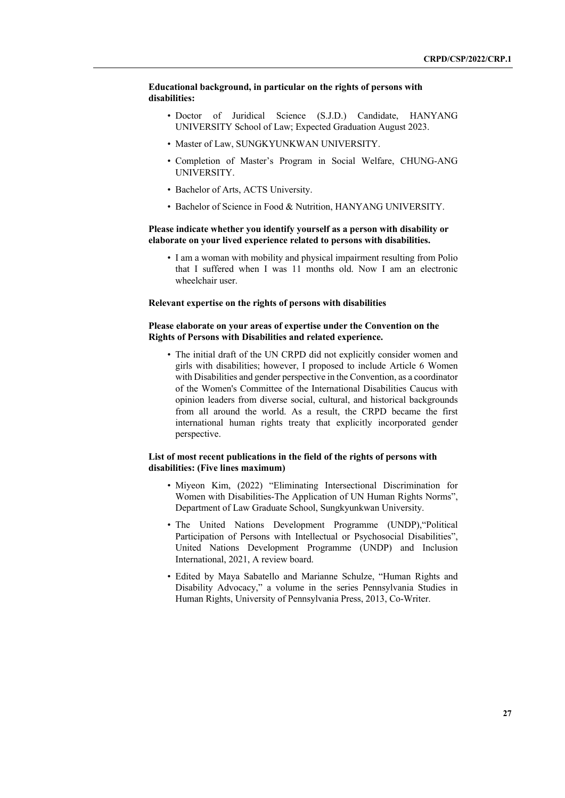## **Educational background, in particular on the rights of persons with disabilities:**

- Doctor of Juridical Science (S.J.D.) Candidate, HANYANG UNIVERSITY School of Law; Expected Graduation August 2023.
- Master of Law, SUNGKYUNKWAN UNIVERSITY.
- Completion of Master's Program in Social Welfare, CHUNG-ANG UNIVERSITY.
- Bachelor of Arts, ACTS University.
- Bachelor of Science in Food & Nutrition, HANYANG UNIVERSITY.

## **Please indicate whether you identify yourself as a person with disability or elaborate on your lived experience related to persons with disabilities.**

• I am a woman with mobility and physical impairment resulting from Polio that I suffered when I was 11 months old. Now I am an electronic wheelchair user.

#### **Relevant expertise on the rights of persons with disabilities**

## **Please elaborate on your areas of expertise under the Convention on the Rights of Persons with Disabilities and related experience.**

• The initial draft of the UN CRPD did not explicitly consider women and girls with disabilities; however, I proposed to include Article 6 Women with Disabilities and gender perspective in the Convention, as a coordinator of the Women's Committee of the International Disabilities Caucus with opinion leaders from diverse social, cultural, and historical backgrounds from all around the world. As a result, the CRPD became the first international human rights treaty that explicitly incorporated gender perspective.

### **List of most recent publications in the field of the rights of persons with disabilities: (Five lines maximum)**

- Miyeon Kim, (2022) "Eliminating Intersectional Discrimination for Women with Disabilities-The Application of UN Human Rights Norms", Department of Law Graduate School, Sungkyunkwan University.
- The United Nations Development Programme (UNDP),"Political Participation of Persons with Intellectual or Psychosocial Disabilities", United Nations Development Programme (UNDP) and Inclusion International, 2021, A review board.
- Edited by Maya Sabatello and Marianne Schulze, "Human Rights and Disability Advocacy," a volume in the series Pennsylvania Studies in Human Rights, University of Pennsylvania Press, 2013, Co-Writer.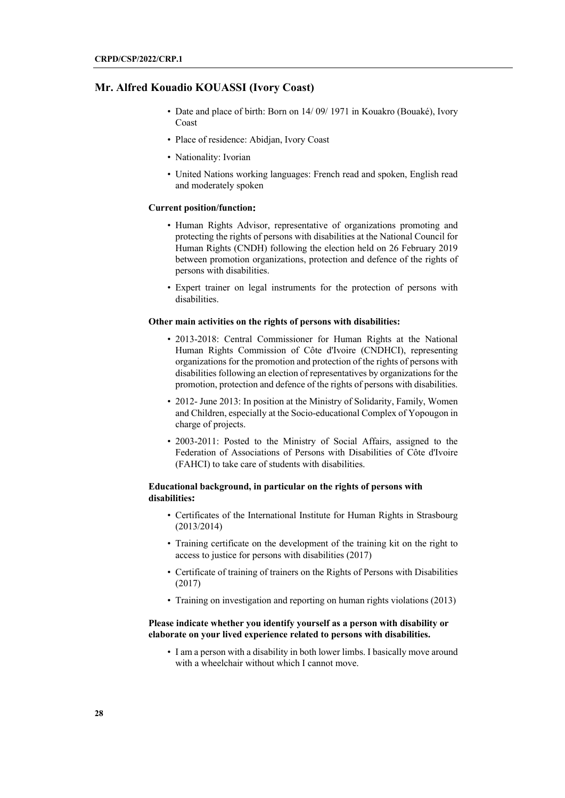## **Mr. Alfred Kouadio KOUASSI (Ivory Coast)**

- Date and place of birth: Born on 14/09/1971 in Kouakro (Bouaké), Ivory Coast
- Place of residence: Abidjan, Ivory Coast
- Nationality: Ivorian
- United Nations working languages: French read and spoken, English read and moderately spoken

## **Current position/function**:

- Human Rights Advisor, representative of organizations promoting and protecting the rights of persons with disabilities at the National Council for Human Rights (CNDH) following the election held on 26 February 2019 between promotion organizations, protection and defence of the rights of persons with disabilities.
- Expert trainer on legal instruments for the protection of persons with disabilities.

#### **Other main activities on the rights of persons with disabilities:**

- 2013-2018: Central Commissioner for Human Rights at the National Human Rights Commission of Côte d'Ivoire (CNDHCI), representing organizations for the promotion and protection of the rights of persons with disabilities following an election of representatives by organizations for the promotion, protection and defence of the rights of persons with disabilities.
- 2012- June 2013: In position at the Ministry of Solidarity, Family, Women and Children, especially at the Socio-educational Complex of Yopougon in charge of projects.
- 2003-2011: Posted to the Ministry of Social Affairs, assigned to the Federation of Associations of Persons with Disabilities of Côte d'Ivoire (FAHCI) to take care of students with disabilities.

## **Educational background, in particular on the rights of persons with disabilities**:

- Certificates of the International Institute for Human Rights in Strasbourg (2013/2014)
- Training certificate on the development of the training kit on the right to access to justice for persons with disabilities (2017)
- Certificate of training of trainers on the Rights of Persons with Disabilities (2017)
- Training on investigation and reporting on human rights violations (2013)

### **Please indicate whether you identify yourself as a person with disability or elaborate on your lived experience related to persons with disabilities.**

• I am a person with a disability in both lower limbs. I basically move around with a wheelchair without which I cannot move.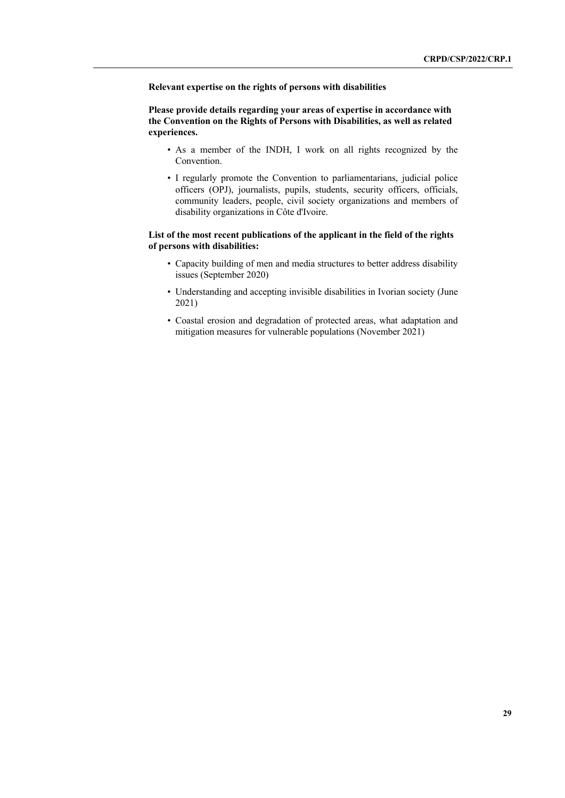**Relevant expertise on the rights of persons with disabilities**

**Please provide details regarding your areas of expertise in accordance with the Convention on the Rights of Persons with Disabilities, as well as related experiences.**

- As a member of the INDH, I work on all rights recognized by the Convention.
- I regularly promote the Convention to parliamentarians, judicial police officers (OPJ), journalists, pupils, students, security officers, officials, community leaders, people, civil society organizations and members of disability organizations in Côte d'Ivoire.

## **List of the most recent publications of the applicant in the field of the rights of persons with disabilities:**

- Capacity building of men and media structures to better address disability issues (September 2020)
- Understanding and accepting invisible disabilities in Ivorian society (June 2021)
- Coastal erosion and degradation of protected areas, what adaptation and mitigation measures for vulnerable populations (November 2021)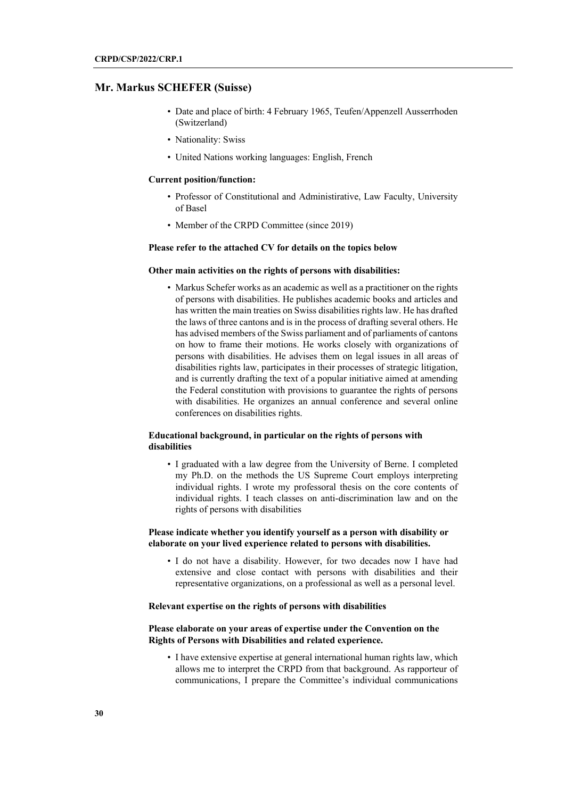## **Mr. Markus SCHEFER (Suisse)**

- Date and place of birth: 4 February 1965, Teufen/Appenzell Ausserrhoden (Switzerland)
- Nationality: Swiss
- United Nations working languages: English, French

#### **Current position/function:**

- Professor of Constitutional and Administirative, Law Faculty, University of Basel
- Member of the CRPD Committee (since 2019)

## **Please refer to the attached CV for details on the topics below**

#### **Other main activities on the rights of persons with disabilities:**

• Markus Schefer works as an academic as well as a practitioner on the rights of persons with disabilities. He publishes academic books and articles and has written the main treaties on Swiss disabilities rights law. He has drafted the laws of three cantons and is in the process of drafting several others. He has advised members of the Swiss parliament and of parliaments of cantons on how to frame their motions. He works closely with organizations of persons with disabilities. He advises them on legal issues in all areas of disabilities rights law, participates in their processes of strategic litigation, and is currently drafting the text of a popular initiative aimed at amending the Federal constitution with provisions to guarantee the rights of persons with disabilities. He organizes an annual conference and several online conferences on disabilities rights.

## **Educational background, in particular on the rights of persons with disabilities**

• I graduated with a law degree from the University of Berne. I completed my Ph.D. on the methods the US Supreme Court employs interpreting individual rights. I wrote my professoral thesis on the core contents of individual rights. I teach classes on anti-discrimination law and on the rights of persons with disabilities

### **Please indicate whether you identify yourself as a person with disability or elaborate on your lived experience related to persons with disabilities.**

• I do not have a disability. However, for two decades now I have had extensive and close contact with persons with disabilities and their representative organizations, on a professional as well as a personal level.

#### **Relevant expertise on the rights of persons with disabilities**

## **Please elaborate on your areas of expertise under the Convention on the Rights of Persons with Disabilities and related experience.**

• I have extensive expertise at general international human rights law, which allows me to interpret the CRPD from that background. As rapporteur of communications, I prepare the Committee's individual communications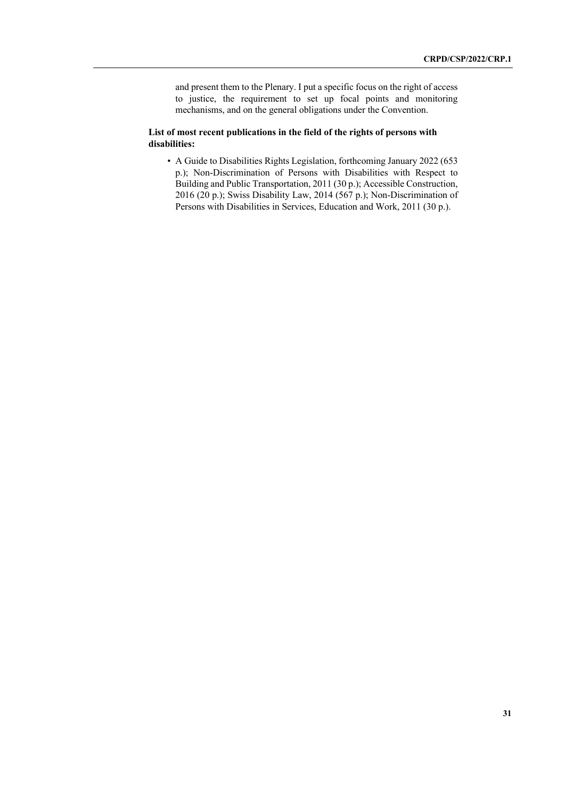and present them to the Plenary. I put a specific focus on the right of access to justice, the requirement to set up focal points and monitoring mechanisms, and on the general obligations under the Convention.

## **List of most recent publications in the field of the rights of persons with disabilities:**

• A Guide to Disabilities Rights Legislation, forthcoming January 2022 (653 p.); Non-Discrimination of Persons with Disabilities with Respect to Building and Public Transportation, 2011 (30 p.); Accessible Construction, 2016 (20 p.); Swiss Disability Law, 2014 (567 p.); Non-Discrimination of Persons with Disabilities in Services, Education and Work, 2011 (30 p.).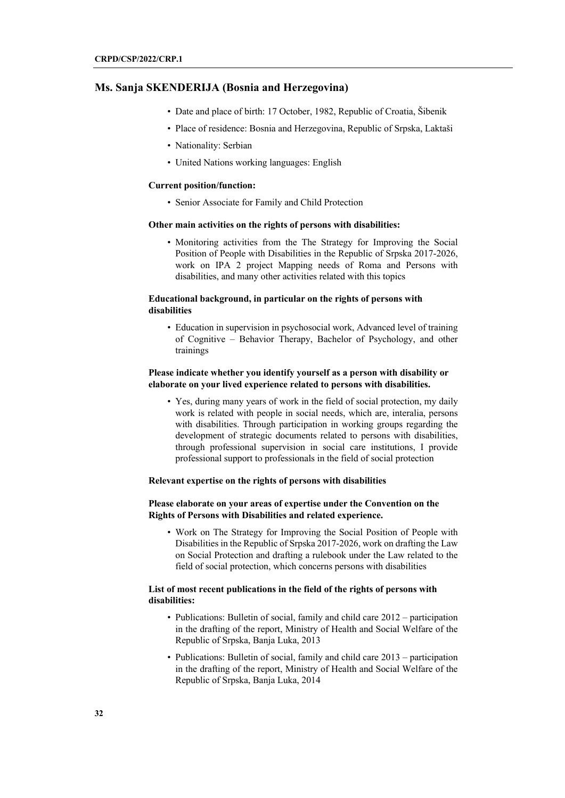## **Ms. Sanja SKENDERIJA (Bosnia and Herzegovina)**

- Date and place of birth: 17 October, 1982, Republic of Croatia, Šibenik
- Place of residence: Bosnia and Herzegovina, Republic of Srpska, Laktaši
- Nationality: Serbian
- United Nations working languages: English

#### **Current position/function:**

• Senior Associate for Family and Child Protection

#### **Other main activities on the rights of persons with disabilities:**

• Monitoring activities from the The Strategy for Improving the Social Position of People with Disabilities in the Republic of Srpska 2017-2026, work on IPA 2 project Mapping needs of Roma and Persons with disabilities, and many other activities related with this topics

## **Educational background, in particular on the rights of persons with disabilities**

• Education in supervision in psychosocial work, Advanced level of training of Cognitive – Behavior Therapy, Bachelor of Psychology, and other trainings

## **Please indicate whether you identify yourself as a person with disability or elaborate on your lived experience related to persons with disabilities.**

• Yes, during many years of work in the field of social protection, my daily work is related with people in social needs, which are, interalia, persons with disabilities. Through participation in working groups regarding the development of strategic documents related to persons with disabilities, through professional supervision in social care institutions, I provide professional support to professionals in the field of social protection

## **Relevant expertise on the rights of persons with disabilities**

## **Please elaborate on your areas of expertise under the Convention on the Rights of Persons with Disabilities and related experience.**

• Work on The Strategy for Improving the Social Position of People with Disabilities in the Republic of Srpska 2017-2026, work on drafting the Law on Social Protection and drafting a rulebook under the Law related to the field of social protection, which concerns persons with disabilities

## **List of most recent publications in the field of the rights of persons with disabilities:**

- Publications: Bulletin of social, family and child care 2012 participation in the drafting of the report, Ministry of Health and Social Welfare of the Republic of Srpska, Banja Luka, 2013
- Publications: Bulletin of social, family and child care 2013 participation in the drafting of the report, Ministry of Health and Social Welfare of the Republic of Srpska, Banja Luka, 2014